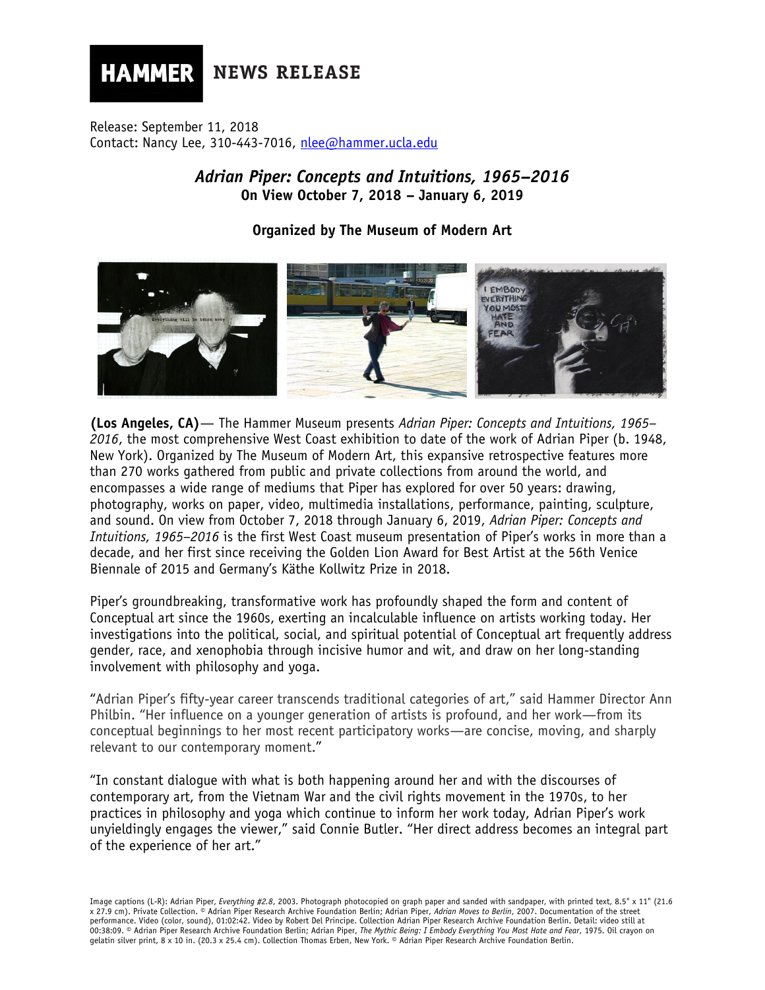**NEWS RELEASE** 

Release: September 11, 2018 Contact: Nancy Lee, 310-443-7016, [nlee@hammer.ucla.edu](mailto:nlee@hammer.ucla.edu)

**HAMMER** 

*Adrian Piper: Concepts and Intuitions, 1965–2016* **On View October 7, 2018 – January 6, 2019**

# **Organized by The Museum of Modern Art**



**(Los Angeles, CA)**— The Hammer Museum presents *Adrian Piper: Concepts and Intuitions, 1965– 2016*, the most comprehensive West Coast exhibition to date of the work of Adrian Piper (b. 1948, New York). Organized by The Museum of Modern Art, this expansive retrospective features more than 270 works gathered from public and private collections from around the world, and encompasses a wide range of mediums that Piper has explored for over 50 years: drawing, photography, works on paper, video, multimedia installations, performance, painting, sculpture, and sound. On view from October 7, 2018 through January 6, 2019, *Adrian Piper: Concepts and Intuitions, 1965–2016* is the first West Coast museum presentation of Piper's works in more than a decade, and her first since receiving the Golden Lion Award for Best Artist at the 56th Venice Biennale of 2015 and Germany's Käthe Kollwitz Prize in 2018.

Piper's groundbreaking, transformative work has profoundly shaped the form and content of Conceptual art since the 1960s, exerting an incalculable influence on artists working today. Her investigations into the political, social, and spiritual potential of Conceptual art frequently address gender, race, and xenophobia through incisive humor and wit, and draw on her long-standing involvement with philosophy and yoga.

"Adrian Piper's fifty-year career transcends traditional categories of art," said Hammer Director Ann Philbin. "Her influence on a younger generation of artists is profound, and her work—from its conceptual beginnings to her most recent participatory works—are concise, moving, and sharply relevant to our contemporary moment."

"In constant dialogue with what is both happening around her and with the discourses of contemporary art, from the Vietnam War and the civil rights movement in the 1970s, to her practices in philosophy and yoga which continue to inform her work today, Adrian Piper's work unyieldingly engages the viewer," said Connie Butler. "Her direct address becomes an integral part of the experience of her art."

Image captions (L-R): Adrian Piper, *Everything #2.8*, 2003. Photograph photocopied on graph paper and sanded with sandpaper, with printed text, 8.5" x 11" (21.6 x 27.9 cm). Private Collection. © Adrian Piper Research Archive Foundation Berlin; Adrian Piper, *Adrian Moves to Berlin*, 2007. Documentation of the street performance. Video (color, sound), 01:02:42. Video by Robert Del Principe. Collection Adrian Piper Research Archive Foundation Berlin. Detail: video still at 00:38:09. © Adrian Piper Research Archive Foundation Berlin; Adrian Piper, *The Mythic Being: I Embody Everything You Most Hate and Fear*, 1975. Oil crayon on gelatin silver print, 8 x 10 in. (20.3 x 25.4 cm). Collection Thomas Erben, New York. © Adrian Piper Research Archive Foundation Berlin.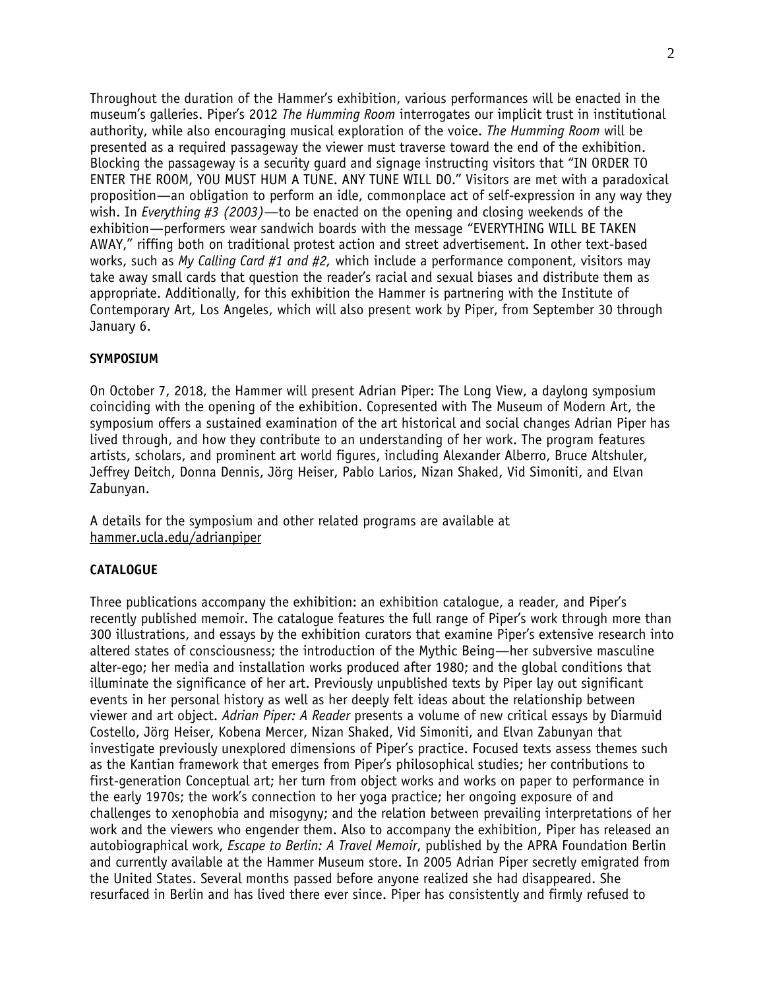Throughout the duration of the Hammer's exhibition, various performances will be enacted in the museum's galleries. Piper's 2012 *The Humming Room* interrogates our implicit trust in institutional authority, while also encouraging musical exploration of the voice. *The Humming Room* will be presented as a required passageway the viewer must traverse toward the end of the exhibition. Blocking the passageway is a security guard and signage instructing visitors that "IN ORDER TO ENTER THE ROOM, YOU MUST HUM A TUNE. ANY TUNE WILL DO." Visitors are met with a paradoxical proposition—an obligation to perform an idle, commonplace act of self-expression in any way they wish. In *Everything #3 (2003)—*to be enacted on the opening and closing weekends of the exhibition—performers wear sandwich boards with the message "EVERYTHING WILL BE TAKEN AWAY," riffing both on traditional protest action and street advertisement. In other text-based works, such as *My Calling Card #1 and #2,* which include a performance component, visitors may take away small cards that question the reader's racial and sexual biases and distribute them as appropriate. Additionally, for this exhibition the Hammer is partnering with the Institute of Contemporary Art, Los Angeles, which will also present work by Piper, from September 30 through January 6.

# **SYMPOSIUM**

On October 7, 2018, the Hammer will present Adrian Piper: The Long View, a daylong symposium coinciding with the opening of the exhibition. Copresented with The Museum of Modern Art, the symposium offers a sustained examination of the art historical and social changes Adrian Piper has lived through, and how they contribute to an understanding of her work. The program features artists, scholars, and prominent art world figures, including Alexander Alberro, Bruce Altshuler, Jeffrey Deitch, Donna Dennis, Jörg Heiser, Pablo Larios, Nizan Shaked, Vid Simoniti, and Elvan Zabunyan.

A details for the symposium and other related programs are available at hammer.ucla.edu/adrianpiper

## **CATALOGUE**

Three publications accompany the exhibition: an exhibition catalogue, a reader, and Piper's recently published memoir. The catalogue features the full range of Piper's work through more than 300 illustrations, and essays by the exhibition curators that examine Piper's extensive research into altered states of consciousness; the introduction of the Mythic Being—her subversive masculine alter-ego; her media and installation works produced after 1980; and the global conditions that illuminate the significance of her art. Previously unpublished texts by Piper lay out significant events in her personal history as well as her deeply felt ideas about the relationship between viewer and art object. *Adrian Piper: A Reader* presents a volume of new critical essays by Diarmuid Costello, Jörg Heiser, Kobena Mercer, Nizan Shaked, Vid Simoniti, and Elvan Zabunyan that investigate previously unexplored dimensions of Piper's practice. Focused texts assess themes such as the Kantian framework that emerges from Piper's philosophical studies; her contributions to first-generation Conceptual art; her turn from object works and works on paper to performance in the early 1970s; the work's connection to her yoga practice; her ongoing exposure of and challenges to xenophobia and misogyny; and the relation between prevailing interpretations of her work and the viewers who engender them. Also to accompany the exhibition, Piper has released an autobiographical work, *Escape to Berlin: A Travel Memoir*, published by the APRA Foundation Berlin and currently available at the Hammer Museum store. In 2005 Adrian Piper secretly emigrated from the United States. Several months passed before anyone realized she had disappeared. She resurfaced in Berlin and has lived there ever since. Piper has consistently and firmly refused to